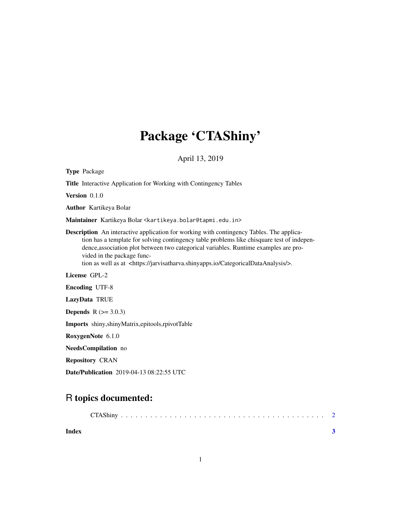## Package 'CTAShiny'

April 13, 2019

| <b>Type Package</b>                                                                                                                                                                                                                                                                                                                                                                                                    |
|------------------------------------------------------------------------------------------------------------------------------------------------------------------------------------------------------------------------------------------------------------------------------------------------------------------------------------------------------------------------------------------------------------------------|
| <b>Title</b> Interactive Application for Working with Contingency Tables                                                                                                                                                                                                                                                                                                                                               |
| Version 0.1.0                                                                                                                                                                                                                                                                                                                                                                                                          |
| <b>Author</b> Kartikeya Bolar                                                                                                                                                                                                                                                                                                                                                                                          |
| Maintainer Kartikeya Bolar <kartikeya.bolar@tapmi.edu.in></kartikeya.bolar@tapmi.edu.in>                                                                                                                                                                                                                                                                                                                               |
| <b>Description</b> An interactive application for working with contingency Tables. The applica-<br>tion has a template for solving contingency table problems like chisquare test of indepen-<br>dence, association plot between two categorical variables. Runtime examples are pro-<br>vided in the package func-<br>tion as well as at <https: categoricaldataanalysis="" jarvisatharva.shinyapps.io=""></https:> . |
| License GPL-2                                                                                                                                                                                                                                                                                                                                                                                                          |
| <b>Encoding UTF-8</b>                                                                                                                                                                                                                                                                                                                                                                                                  |
| LazyData TRUE                                                                                                                                                                                                                                                                                                                                                                                                          |
| <b>Depends</b> $R (= 3.0.3)$                                                                                                                                                                                                                                                                                                                                                                                           |
| Imports shiny, shinyMatrix, epitools, rpivotTable                                                                                                                                                                                                                                                                                                                                                                      |
| RoxygenNote 6.1.0                                                                                                                                                                                                                                                                                                                                                                                                      |
| NeedsCompilation no                                                                                                                                                                                                                                                                                                                                                                                                    |
| <b>Repository CRAN</b>                                                                                                                                                                                                                                                                                                                                                                                                 |

Date/Publication 2019-04-13 08:22:55 UTC

### R topics documented:

| Index |  |
|-------|--|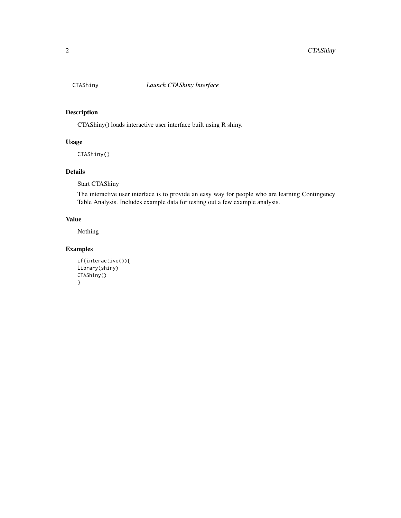<span id="page-1-0"></span>

#### Description

CTAShiny() loads interactive user interface built using R shiny.

#### Usage

CTAShiny()

#### Details

Start CTAShiny

The interactive user interface is to provide an easy way for people who are learning Contingency Table Analysis. Includes example data for testing out a few example analysis.

#### Value

Nothing

#### Examples

```
if(interactive()){
library(shiny)
CTAShiny()
}
```